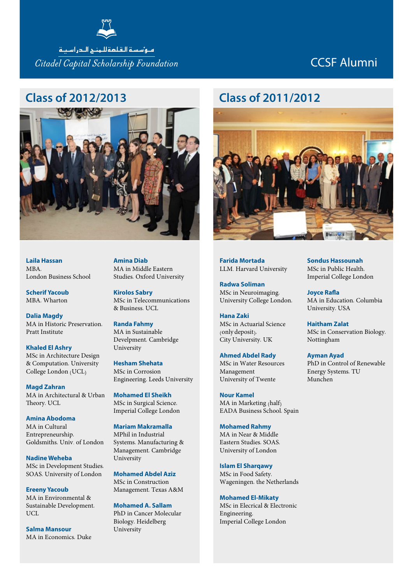

متوأسسة القلعةللمنبح التدراسينة Citadel Capital Scholarship Foundation

# CCSF Alumni

#### **Class of 2012/2013**



**Laila Hassan**  $MRA$ London Business School

**Scherif Yacoub** MBA, Wharton

**Dalia Magdy** MA in Historic Preservation, Pratt Institute

**Khaled El Ashry** MSc in Architecture Design & Computation, University College London (UCL)

**Magd Zahran** MA in Architectural & Urban Theory, UCL

**Amina Abodoma** MA in Cultural Entrepreneurship, Goldsmiths, Univ. of London

**Nadine Weheba** MSc in Development Studies, SOAS, University of London

**Ereeny Yacoub** MA in Environmental & Sustainable Development, UCL

**Salma Mansour** MA in Economics, Duke **Amina Diab** MA in Middle Eastern Studies, Oxford University

**Kirolos Sabry** MSc in Telecommunications & Business, UCL

**Randa Fahmy** MA in Sustainable Develpment, Cambridge University

**Hesham Shehata** MSc in Corrosion Engineering, Leeds University

**Mohamed El Sheikh** MSc in Surgical Science, Imperial College London

**Mariam Makramalla** MPhil in Industrial Systems, Manufacturing & Management, Cambridge University

**Mohamed Abdel Aziz** MSc in Construction Management, Texas A&M

**Mohamed A. Sallam** PhD in Cancer Molecular Biology, Heidelberg University

#### **Class of 2011/2012**



**Farida Mortada** LLM. Harvard University

**Radwa Soliman** MSc in Neuroimaging, University College London,

**Hana Zaki** MSc in Actuarial Science (only deposit), City University, UK

**Ahmed Abdel Rady** MSc in Water Resources Management University of Twente

**Nour Kamel** MA in Marketing (half) EADA Business School, Spain

**Mohamed Rahmy** MA in Near & Middle Eastern Studies, SOAS, University of London

**Islam El Sharqawy** MSc in Food Safety, Wageningen, the Netherlands

**Mohamed El-Mikaty** MSc in Elecrical & Electronic Engineering, Imperial College London

**Sondus Hassounah** MSc in Public Health, Imperial College London

**Joyce Rafla** MA in Education, Columbia University, USA

**Haitham Zalat** MSc in Conservation Biology, Nottingham

**Ayman Ayad** PhD in Control of Renewable Energy Systems, TU Munchen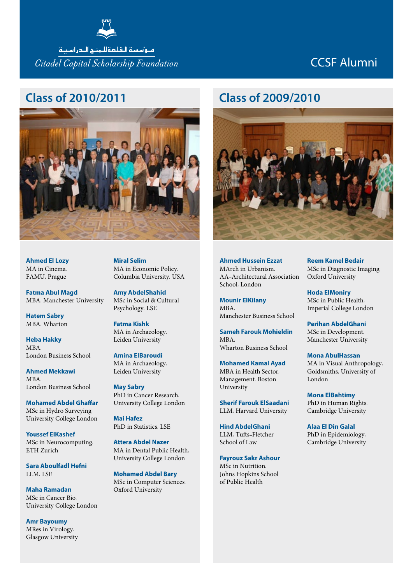

Citadel Capital Scholarship Foundation

# CCSF Alumni

#### **Class of 2010/2011**



**Ahmed El Lozy** MA in Cinema, FAMU, Prague

**Fatma Abul Magd** MBA, Manchester University

**Hatem Sabry** MBA, Wharton

**Heba Hakky** MBA, London Business School

**Ahmed Mekkawi**  $MRA$ London Business School

**Mohamed Abdel Ghaffar** MSc in Hydro Surveying, University College London

**Youssef ElKashef** MSc in Neurocomputing, ETH Zurich

**Sara Aboulfadl Hefni** LLM, LSE

**Maha Ramadan** MSc in Cancer Bio, University College London

**Amr Bayoumy** MRes in Virology, Glasgow University **Miral Selim** MA in Economic Policy, Columbia University, USA

**Amy AbdelShahid** MSc in Social & Cultural Psychology, LSE

**Fatma Kishk** MA in Archaeology, Leiden University

**Amina ElBaroudi** MA in Archaeology, Leiden University

**May Sabry** PhD in Cancer Research, University College London

**Mai Hafez** PhD in Statistics, LSE

**Attera Abdel Nazer** MA in Dental Public Health, University College London

**Mohamed Abdel Bary** MSc in Computer Sciences, Oxford University

#### **Class of 2009/2010**



**Ahmed Hussein Ezzat** MArch in Urbanism, AA-Architectural Association School, London

**Mounir ElKilany**  $MRA$ Manchester Business School

**Sameh Farouk Mohieldin**  $MRA$ Wharton Business School

**Mohamed Kamal Ayad** MBA in Health Sector, Management, Boston University

**Sherif Farouk ElSaadani** LLM, Harvard University

**Hind AbdelGhani** LLM, Tufts-Fletcher School of Law

**Fayrouz Sakr Ashour** MSc in Nutrition, Johns Hopkins School of Public Health

**Reem Kamel Bedair** MSc in Diagnostic Imaging, Oxford University

**Hoda ElMoniry** MSc in Public Health, Imperial College London

**Perihan AbdelGhani** MSc in Development, Manchester University

**Mona AbulHassan** MA in Visual Anthropology, Goldsmiths, University of London

**Mona ElBahtimy** PhD in Human Rights, Cambridge University

**Alaa El Din Galal** PhD in Epidemiology, Cambridge University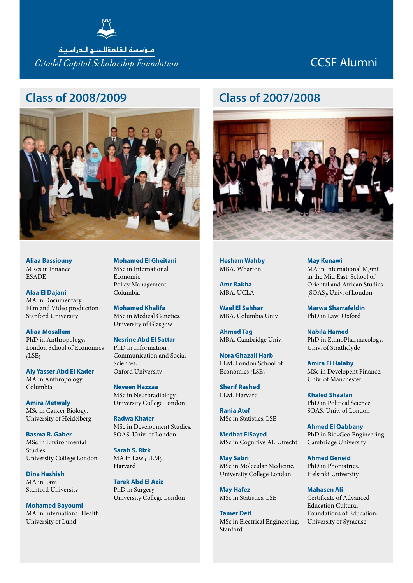

متوأسسة القلعةللمنبح التدراسينة Citadel Capital Scholarship Foundation

# CCSF Alumni

#### **Class of 2008/2009**



**Aliaa Bassiouny** MRes in Finance, ESADE

**Alaa El Dajani**  MA in Documentary Film and Video production, Stanford University

**Aliaa Mosallem**  PhD in Anthropology, London School of Economics  $(LSE)$ 

**Aly Yasser Abd El Kader**  MA in Anthropology, Columbia

**Amira Metwaly**  MSc in Cancer Biology, University of Heidelberg

**Basma R. Gaber**  MSc in Environmental Studies, University College London

**Dina Hashish**  MA in Law Stanford University

**Mohamed Bayoumi** MA in International Health, University of Lund

**Mohamed El Gheitani** MSc in International Economic Policy Management, Columbia

**Mohamed Khalifa** MSc in Medical Genetics, University of Glasgow

**Nesrine Abd El Sattar** PhD in Information , Communication and Social Sciences, Oxford University

**Neveen Hazzaa**  MSc in Neuroradiology, University College London

**Radwa Khater**  MSc in Development Studies, SOAS, Univ. of London

**Sarah S. Rizk**  MA in Law (LLM), Harvard

**Tarek Abd El Aziz** PhD in Surgery, University College London

## **Class of 2007/2008**



**Hesham Wahby** MBA, Wharton

**Amr Rakha** MBA, UCLA

**Wael El Sahhar** MBA, Columbia Univ.

**Ahmed Tag** MBA, Cambridge Univ.

**Nora Ghazali Harb** LLM, London School of Economics (LSE)

**Sherif Rashed** LLM, Harvard

**Rania Atef** MSc in Statistics, LSE

**Medhat ElSayed** MSc in Cognitive AI, Utrecht

**May Sabri** MSc in Molecular Medicine, University College London

**May Hafez** MSc in Statistics, LSE

**Tamer Deif** MSc in Electrical Engineering, Stanford

#### **May Kenawi**

MA in International Mgmt in the Mid East, School of Oriental and African Studies (SOAS), Univ. of London

**Marwa Sharrafeldin** PhD in Law, Oxford

**Nabila Hamed** PhD in EthnoPharmacology, Univ. of Strathclyde

**Amira El Halaby** MSc in Developent Finance, Univ. of Manchester

**Khaled Shaalan** PhD in Political Science, SOAS, Univ. of London

**Ahmed El Qabbany** PhD in Bio-Geo Engineering, Cambridge University

**Ahmed Geneid** PhD in Phoniatrics, Helsinki University

**Mahasen Ali** Certificate of Advanced Education Cultural Foundations of Education, University of Syracuse